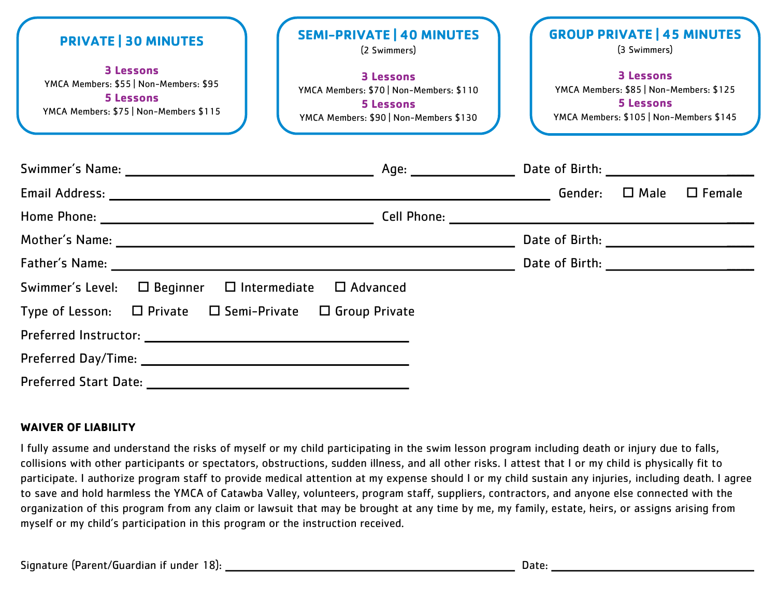| <b>PRIVATE   30 MINUTES</b><br><b>3 Lessons</b><br>YMCA Members: \$55   Non-Members: \$95<br><b>5 Lessons</b><br>YMCA Members: \$75   Non-Members \$115 | <b>SEMI-PRIVATE   40 MINUTES</b><br>(2 Swimmers)<br><b>3 Lessons</b><br>YMCA Members: \$70   Non-Members: \$110<br><b>5 Lessons</b><br>YMCA Members: \$90   Non-Members \$130 | <b>GROUP PRIVATE   45 MINUTES</b><br>(3 Swimmers)<br><b>3 Lessons</b><br>YMCA Members: \$85   Non-Members: \$125<br><b>5 Lessons</b><br>YMCA Members: \$105   Non-Members \$145 |  |               |
|---------------------------------------------------------------------------------------------------------------------------------------------------------|-------------------------------------------------------------------------------------------------------------------------------------------------------------------------------|---------------------------------------------------------------------------------------------------------------------------------------------------------------------------------|--|---------------|
|                                                                                                                                                         |                                                                                                                                                                               |                                                                                                                                                                                 |  |               |
|                                                                                                                                                         |                                                                                                                                                                               |                                                                                                                                                                                 |  | $\Box$ Female |
|                                                                                                                                                         |                                                                                                                                                                               |                                                                                                                                                                                 |  |               |
|                                                                                                                                                         |                                                                                                                                                                               |                                                                                                                                                                                 |  |               |
|                                                                                                                                                         |                                                                                                                                                                               |                                                                                                                                                                                 |  |               |
| Swimmer's Level:<br>$\square$ Beginner                                                                                                                  | $\Box$ Intermediate<br>$\Box$ Advanced                                                                                                                                        |                                                                                                                                                                                 |  |               |
| Type of Lesson: $\Box$ Private $\Box$ Semi-Private                                                                                                      | $\Box$ Group Private                                                                                                                                                          |                                                                                                                                                                                 |  |               |
|                                                                                                                                                         |                                                                                                                                                                               |                                                                                                                                                                                 |  |               |
| Preferred Day/Time: 2008 2014 2022 2023 2024 2024 2022 2023 2024 2022 2023 2024 2022 2023 2024 2022 2023 2024                                           |                                                                                                                                                                               |                                                                                                                                                                                 |  |               |
| <b>Preferred Start Date:</b>                                                                                                                            |                                                                                                                                                                               |                                                                                                                                                                                 |  |               |

## **WAIVER OF LIABILITY**

I fully assume and understand the risks of myself or my child participating in the swim lesson program including death or injury due to falls, collisions with other participants or spectators, obstructions, sudden illness, and all other risks. I attest that I or my child is physically fit to participate. I authorize program staff to provide medical attention at my expense should I or my child sustain any injuries, including death. I agree to save and hold harmless the YMCA of Catawba Valley, volunteers, program staff, suppliers, contractors, and anyone else connected with the organization of this program from any claim or lawsuit that may be brought at any time by me, my family, estate, heirs, or assigns arising from myself or my child's participation in this program or the instruction received.

Signature (Parent/Guardian if under 18): Date: \_\_\_\_\_\_\_